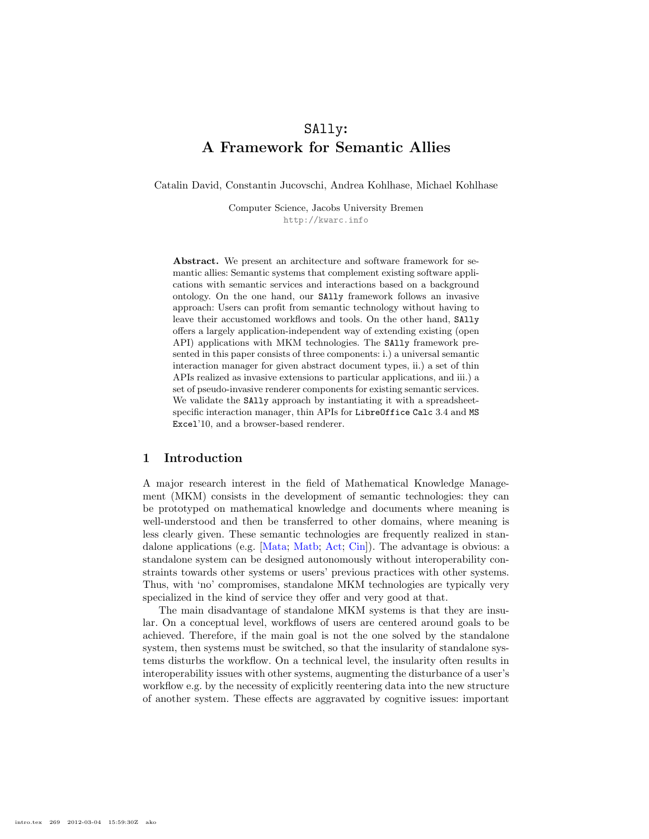# SAlly: A Framework for Semantic Allies

Catalin David, Constantin Jucovschi, Andrea Kohlhase, Michael Kohlhase

Computer Science, Jacobs University Bremen <http://kwarc.info>

Abstract. We present an architecture and software framework for semantic allies: Semantic systems that complement existing software applications with semantic services and interactions based on a background ontology. On the one hand, our SAlly framework follows an invasive approach: Users can profit from semantic technology without having to leave their accustomed workflows and tools. On the other hand, SAlly offers a largely application-independent way of extending existing (open API) applications with MKM technologies. The SAlly framework presented in this paper consists of three components: i.) a universal semantic interaction manager for given abstract document types, ii.) a set of thin APIs realized as invasive extensions to particular applications, and iii.) a set of pseudo-invasive renderer components for existing semantic services. We validate the SAlly approach by instantiating it with a spreadsheetspecific interaction manager, thin APIs for LibreOffice Calc 3.4 and MS Excel'10, and a browser-based renderer.

### 1 Introduction

A major research interest in the field of Mathematical Knowledge Management (MKM) consists in the development of semantic technologies: they can be prototyped on mathematical knowledge and documents where meaning is well-understood and then be transferred to other domains, where meaning is less clearly given. These semantic technologies are frequently realized in standalone applications (e.g. [\[Mata;](#page-14-0) [Matb;](#page-14-1) [Act;](#page-12-0) [Cin\]](#page-12-1)). The advantage is obvious: a standalone system can be designed autonomously without interoperability constraints towards other systems or users' previous practices with other systems. Thus, with 'no' compromises, standalone MKM technologies are typically very specialized in the kind of service they offer and very good at that.

The main disadvantage of standalone MKM systems is that they are insular. On a conceptual level, workflows of users are centered around goals to be achieved. Therefore, if the main goal is not the one solved by the standalone system, then systems must be switched, so that the insularity of standalone systems disturbs the workflow. On a technical level, the insularity often results in interoperability issues with other systems, augmenting the disturbance of a user's workflow e.g. by the necessity of explicitly reentering data into the new structure of another system. These effects are aggravated by cognitive issues: important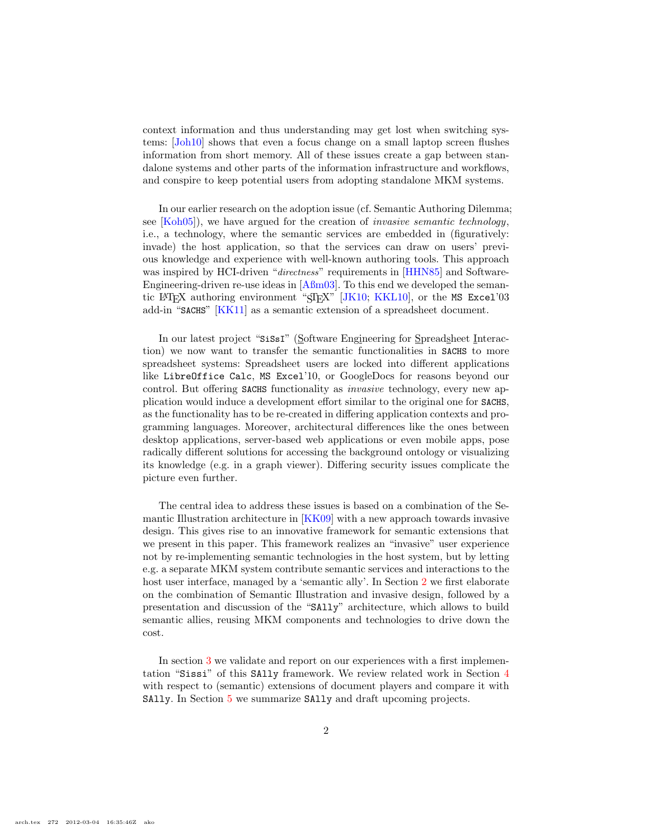context information and thus understanding may get lost when switching systems: [\[Joh10\]](#page-13-0) shows that even a focus change on a small laptop screen flushes information from short memory. All of these issues create a gap between standalone systems and other parts of the information infrastructure and workflows, and conspire to keep potential users from adopting standalone MKM systems.

In our earlier research on the adoption issue (cf. Semantic Authoring Dilemma; see [\[Koh05\]](#page-14-2)), we have argued for the creation of invasive semantic technology, i.e., a technology, where the semantic services are embedded in (figuratively: invade) the host application, so that the services can draw on users' previous knowledge and experience with well-known authoring tools. This approach was inspired by HCI-driven "directness" requirements in [\[HHN85\]](#page-13-1) and Software-Engineering-driven re-use ideas in [A $\beta$ m03]. To this end we developed the semantic LATEX authoring environment "STEX" [\[JK10;](#page-13-2) [KKL10\]](#page-13-3), or the MS Excel'03 add-in "SACHS" [\[KK11\]](#page-13-4) as a semantic extension of a spreadsheet document.

In our latest project "SiSsI" (Software Engineering for Spreadsheet Interaction) we now want to transfer the semantic functionalities in SACHS to more spreadsheet systems: Spreadsheet users are locked into different applications like LibreOffice Calc, MS Excel'10, or GoogleDocs for reasons beyond our control. But offering SACHS functionality as *invasive* technology, every new application would induce a development effort similar to the original one for SACHS, as the functionality has to be re-created in differing application contexts and programming languages. Moreover, architectural differences like the ones between desktop applications, server-based web applications or even mobile apps, pose radically different solutions for accessing the background ontology or visualizing its knowledge (e.g. in a graph viewer). Differing security issues complicate the picture even further.

The central idea to address these issues is based on a combination of the Semantic Illustration architecture in [\[KK09\]](#page-13-5) with a new approach towards invasive design. This gives rise to an innovative framework for semantic extensions that we present in this paper. This framework realizes an "invasive" user experience not by re-implementing semantic technologies in the host system, but by letting e.g. a separate MKM system contribute semantic services and interactions to the host user interface, managed by a 'semantic ally'. In Section [2](#page-2-0) we first elaborate on the combination of Semantic Illustration and invasive design, followed by a presentation and discussion of the "SAlly" architecture, which allows to build semantic allies, reusing MKM components and technologies to drive down the cost.

In section [3](#page-5-0) we validate and report on our experiences with a first implementation "Sissi" of this SAlly framework. We review related work in Section [4](#page-9-0) with respect to (semantic) extensions of document players and compare it with SAlly. In Section [5](#page-11-0) we summarize SAlly and draft upcoming projects.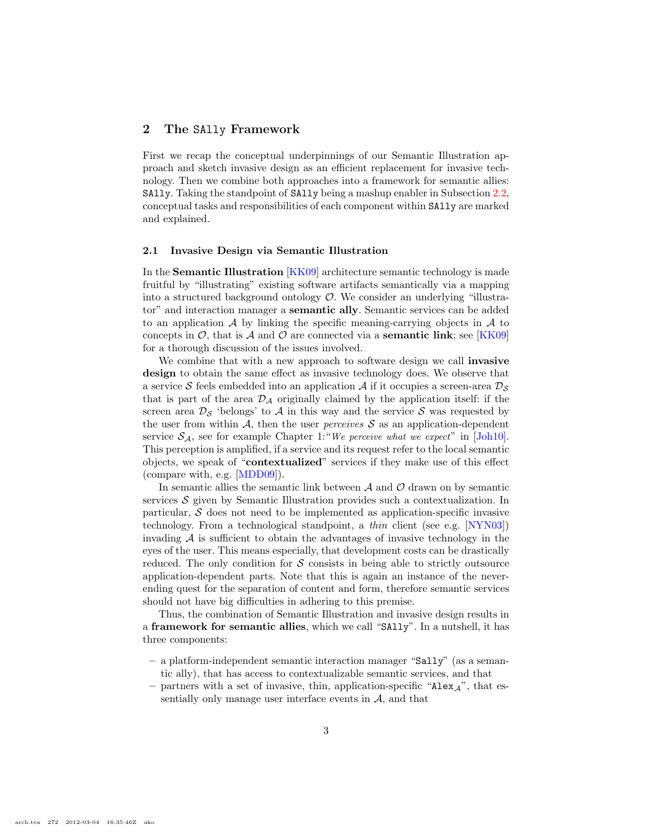# <span id="page-2-0"></span>2 The SAlly Framework

First we recap the conceptual underpinnings of our Semantic Illustration approach and sketch invasive design as an efficient replacement for invasive technology. Then we combine both approaches into a framework for semantic allies: SAlly. Taking the standpoint of SAlly being a mashup enabler in Subsection [2.2,](#page-3-0) conceptual tasks and responsibilities of each component within SAlly are marked and explained.

### 2.1 Invasive Design via Semantic Illustration

In the **Semantic Illustration**  $KK09$  architecture semantic technology is made fruitful by "illustrating" existing software artifacts semantically via a mapping into a structured background ontology  $O$ . We consider an underlying "illustrator" and interaction manager a semantic ally. Semantic services can be added to an application  $A$  by linking the specific meaning-carrying objects in  $A$  to concepts in  $\mathcal{O}$ , that is  $\mathcal{A}$  and  $\mathcal{O}$  are connected via a **semantic link**; see [\[KK09\]](#page-13-5) for a thorough discussion of the issues involved.

We combine that with a new approach to software design we call invasive design to obtain the same effect as invasive technology does. We observe that a service S feels embedded into an application A if it occupies a screen-area  $\mathcal{D}_S$ that is part of the area  $\mathcal{D}_{\mathcal{A}}$  originally claimed by the application itself: if the screen area  $\mathcal{D}_{\mathcal{S}}$  'belongs' to  $\mathcal{A}$  in this way and the service  $\mathcal{S}$  was requested by the user from within  $A$ , then the user *perceives*  $S$  as an application-dependent service  $S_A$ , see for example Chapter 1:"We perceive what we expect" in [\[Joh10\]](#page-13-0). This perception is amplified, if a service and its request refer to the local semantic objects, we speak of "contextualized" services if they make use of this effect (compare with, e.g. [\[MDD09\]](#page-14-3)).

In semantic allies the semantic link between  $A$  and  $O$  drawn on by semantic services  $S$  given by Semantic Illustration provides such a contextualization. In particular,  $S$  does not need to be implemented as application-specific invasive technology. From a technological standpoint, a thin client (see e.g. [\[NYN03\]](#page-14-4)) invading  $A$  is sufficient to obtain the advantages of invasive technology in the eyes of the user. This means especially, that development costs can be drastically reduced. The only condition for  $S$  consists in being able to strictly outsource application-dependent parts. Note that this is again an instance of the neverending quest for the separation of content and form, therefore semantic services should not have big difficulties in adhering to this premise.

Thus, the combination of Semantic Illustration and invasive design results in a framework for semantic allies, which we call "SAlly". In a nutshell, it has three components:

- a platform-independent semantic interaction manager "Sally" (as a semantic ally), that has access to contextualizable semantic services, and that
- partners with a set of invasive, thin, application-specific " $\text{Alex}_{\mathcal{A}}$ ", that essentially only manage user interface events in  $A$ , and that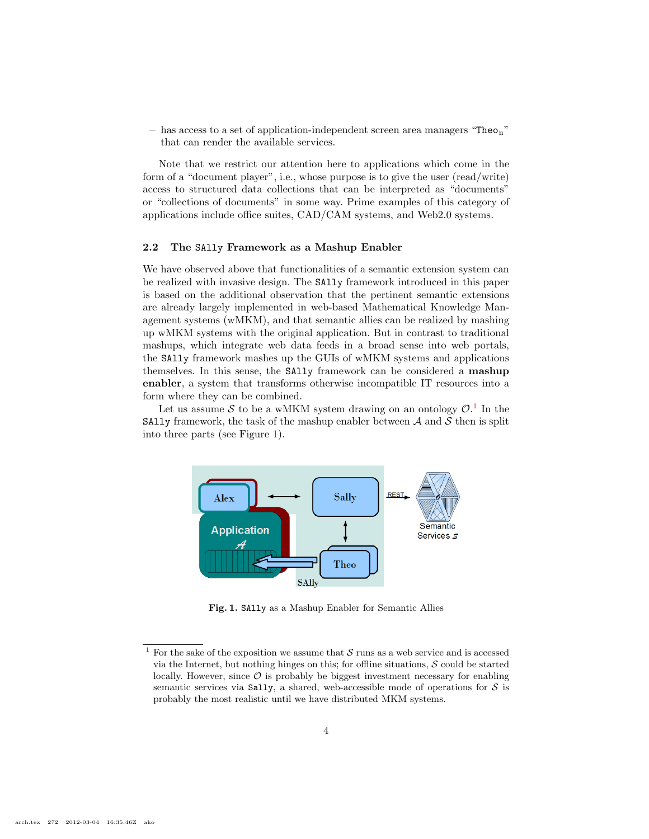$-$  has access to a set of application-independent screen area managers "Theo<sub>n</sub>" that can render the available services.

Note that we restrict our attention here to applications which come in the form of a "document player", i.e., whose purpose is to give the user (read/write) access to structured data collections that can be interpreted as "documents" or "collections of documents" in some way. Prime examples of this category of applications include office suites, CAD/CAM systems, and Web2.0 systems.

#### <span id="page-3-0"></span>2.2 The SAlly Framework as a Mashup Enabler

We have observed above that functionalities of a semantic extension system can be realized with invasive design. The SAlly framework introduced in this paper is based on the additional observation that the pertinent semantic extensions are already largely implemented in web-based Mathematical Knowledge Management systems (wMKM), and that semantic allies can be realized by mashing up wMKM systems with the original application. But in contrast to traditional mashups, which integrate web data feeds in a broad sense into web portals, the SAlly framework mashes up the GUIs of wMKM systems and applications themselves. In this sense, the SAlly framework can be considered a mashup enabler, a system that transforms otherwise incompatible IT resources into a form where they can be combined.

Let us assume S to be a wMKM system drawing on an ontology  $\mathcal{O}^{1}$  $\mathcal{O}^{1}$  $\mathcal{O}^{1}$ . In the SAlly framework, the task of the mashup enabler between  $A$  and  $S$  then is split into three parts (see Figure [1\)](#page-3-2).



<span id="page-3-2"></span>Fig. 1. SAlly as a Mashup Enabler for Semantic Allies

<span id="page-3-1"></span><sup>&</sup>lt;sup>1</sup> For the sake of the exposition we assume that  $S$  runs as a web service and is accessed via the Internet, but nothing hinges on this; for offline situations,  $S$  could be started locally. However, since  $\mathcal O$  is probably be biggest investment necessary for enabling semantic services via Sally, a shared, web-accessible mode of operations for  $S$  is probably the most realistic until we have distributed MKM systems.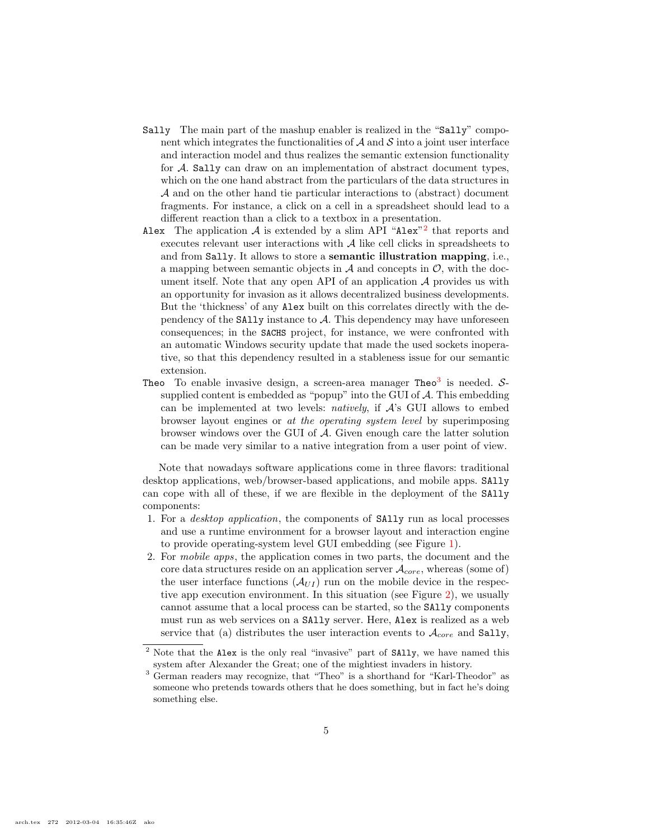- Sally The main part of the mashup enabler is realized in the "Sally" component which integrates the functionalities of  $A$  and  $S$  into a joint user interface and interaction model and thus realizes the semantic extension functionality for A. Sally can draw on an implementation of abstract document types, which on the one hand abstract from the particulars of the data structures in A and on the other hand tie particular interactions to (abstract) document fragments. For instance, a click on a cell in a spreadsheet should lead to a different reaction than a click to a textbox in a presentation.
- Alex The application  $A$  is extended by a slim API "Alex"<sup>[2](#page-4-0)</sup> that reports and executes relevant user interactions with A like cell clicks in spreadsheets to and from Sally. It allows to store a semantic illustration mapping, i.e., a mapping between semantic objects in  $A$  and concepts in  $\mathcal{O}$ , with the document itself. Note that any open API of an application  $A$  provides us with an opportunity for invasion as it allows decentralized business developments. But the 'thickness' of any Alex built on this correlates directly with the dependency of the SA11y instance to  $A$ . This dependency may have unforeseen consequences; in the SACHS project, for instance, we were confronted with an automatic Windows security update that made the used sockets inoperative, so that this dependency resulted in a stableness issue for our semantic extension.
- Theo To enable invasive design, a screen-area manager Theo<sup>[3](#page-4-1)</sup> is needed.  $S$ supplied content is embedded as "popup" into the GUI of A. This embedding can be implemented at two levels: *natively*, if  $A$ 's GUI allows to embed browser layout engines or at the operating system level by superimposing browser windows over the GUI of  $A$ . Given enough care the latter solution can be made very similar to a native integration from a user point of view.

Note that nowadays software applications come in three flavors: traditional desktop applications, web/browser-based applications, and mobile apps. SAlly can cope with all of these, if we are flexible in the deployment of the SAlly components:

- 1. For a desktop application, the components of SAlly run as local processes and use a runtime environment for a browser layout and interaction engine to provide operating-system level GUI embedding (see Figure [1\)](#page-3-2).
- 2. For mobile apps, the application comes in two parts, the document and the core data structures reside on an application server  $\mathcal{A}_{core}$ , whereas (some of) the user interface functions  $(\mathcal{A}_{UI})$  run on the mobile device in the respective app execution environment. In this situation (see Figure [2\)](#page-5-1), we usually cannot assume that a local process can be started, so the SAlly components must run as web services on a SAlly server. Here, Alex is realized as a web service that (a) distributes the user interaction events to  $\mathcal{A}_{core}$  and Sally,

<span id="page-4-0"></span><sup>&</sup>lt;sup>2</sup> Note that the Alex is the only real "invasive" part of SAlly, we have named this system after Alexander the Great; one of the mightiest invaders in history.

<span id="page-4-1"></span><sup>3</sup> German readers may recognize, that "Theo" is a shorthand for "Karl-Theodor" as someone who pretends towards others that he does something, but in fact he's doing something else.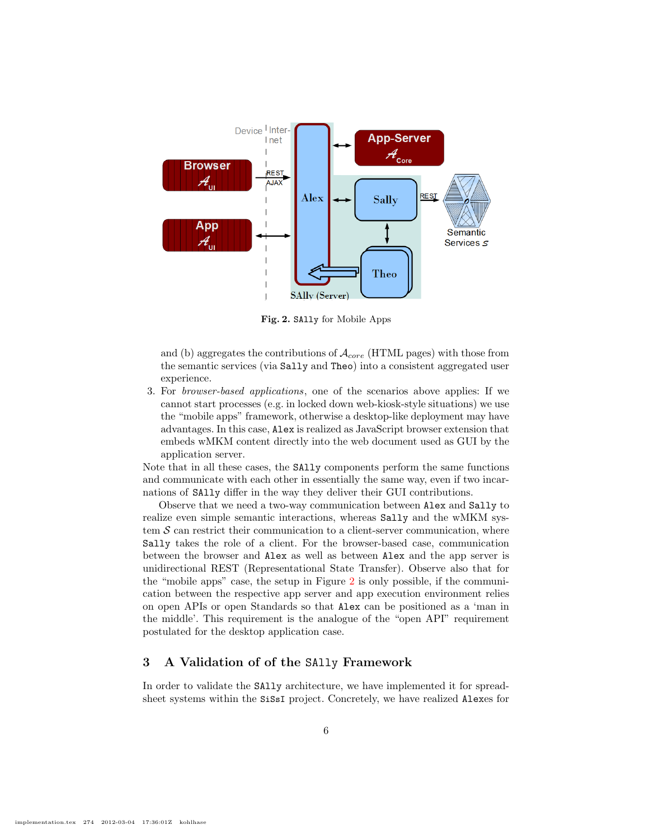

<span id="page-5-1"></span>Fig. 2. SAlly for Mobile Apps

and (b) aggregates the contributions of  $\mathcal{A}_{core}$  (HTML pages) with those from the semantic services (via Sally and Theo) into a consistent aggregated user experience.

3. For browser-based applications, one of the scenarios above applies: If we cannot start processes (e.g. in locked down web-kiosk-style situations) we use the "mobile apps" framework, otherwise a desktop-like deployment may have advantages. In this case, Alex is realized as JavaScript browser extension that embeds wMKM content directly into the web document used as GUI by the application server.

Note that in all these cases, the SAlly components perform the same functions and communicate with each other in essentially the same way, even if two incarnations of SAlly differ in the way they deliver their GUI contributions.

Observe that we need a two-way communication between Alex and Sally to realize even simple semantic interactions, whereas Sally and the wMKM system  $S$  can restrict their communication to a client-server communication, where Sally takes the role of a client. For the browser-based case, communication between the browser and Alex as well as between Alex and the app server is unidirectional REST (Representational State Transfer). Observe also that for the "mobile apps" case, the setup in Figure [2](#page-5-1) is only possible, if the communication between the respective app server and app execution environment relies on open APIs or open Standards so that Alex can be positioned as a 'man in the middle'. This requirement is the analogue of the "open API" requirement postulated for the desktop application case.

# <span id="page-5-0"></span>3 A Validation of of the SAlly Framework

In order to validate the SAlly architecture, we have implemented it for spreadsheet systems within the SiSsI project. Concretely, we have realized Alexes for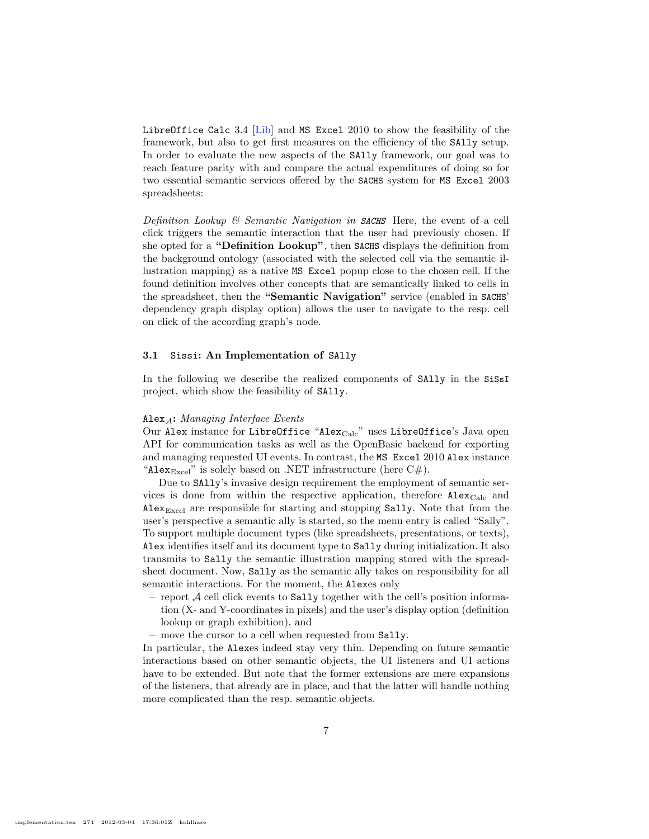LibreOffice Calc 3.4 [\[Lib\]](#page-14-5) and MS Excel 2010 to show the feasibility of the framework, but also to get first measures on the efficiency of the SAlly setup. In order to evaluate the new aspects of the SAlly framework, our goal was to reach feature parity with and compare the actual expenditures of doing so for two essential semantic services offered by the SACHS system for MS Excel 2003 spreadsheets:

Definition Lookup  $\mathcal B$  Semantic Navigation in SACHS Here, the event of a cell click triggers the semantic interaction that the user had previously chosen. If she opted for a "Definition Lookup", then SACHS displays the definition from the background ontology (associated with the selected cell via the semantic illustration mapping) as a native MS Excel popup close to the chosen cell. If the found definition involves other concepts that are semantically linked to cells in the spreadsheet, then the "Semantic Navigation" service (enabled in SACHS' dependency graph display option) allows the user to navigate to the resp. cell on click of the according graph's node.

### 3.1 Sissi: An Implementation of SAlly

In the following we describe the realized components of SAlly in the SiSsI project, which show the feasibility of SAlly.

#### Alex<sub>A</sub>: Managing Interface Events

Our Alex instance for LibreOffice "Alex<sub>Calc</sub>" uses LibreOffice's Java open API for communication tasks as well as the OpenBasic backend for exporting and managing requested UI events. In contrast, the MS Excel 2010 Alex instance "Alex $_{\text{Excel}}$ " is solely based on .NET infrastructure (here C#).

Due to SAlly's invasive design requirement the employment of semantic services is done from within the respective application, therefore  $\texttt{Alex}_\text{Calc}$  and  $\texttt{Alex}_\text{Excel}$  are responsible for starting and stopping Sally. Note that from the user's perspective a semantic ally is started, so the menu entry is called "Sally". To support multiple document types (like spreadsheets, presentations, or texts), Alex identifies itself and its document type to Sally during initialization. It also transmits to Sally the semantic illustration mapping stored with the spreadsheet document. Now, Sally as the semantic ally takes on responsibility for all semantic interactions. For the moment, the Alexes only

- report  $A$  cell click events to Sally together with the cell's position information (X- and Y-coordinates in pixels) and the user's display option (definition lookup or graph exhibition), and
- move the cursor to a cell when requested from Sally.

In particular, the Alexes indeed stay very thin. Depending on future semantic interactions based on other semantic objects, the UI listeners and UI actions have to be extended. But note that the former extensions are mere expansions of the listeners, that already are in place, and that the latter will handle nothing more complicated than the resp. semantic objects.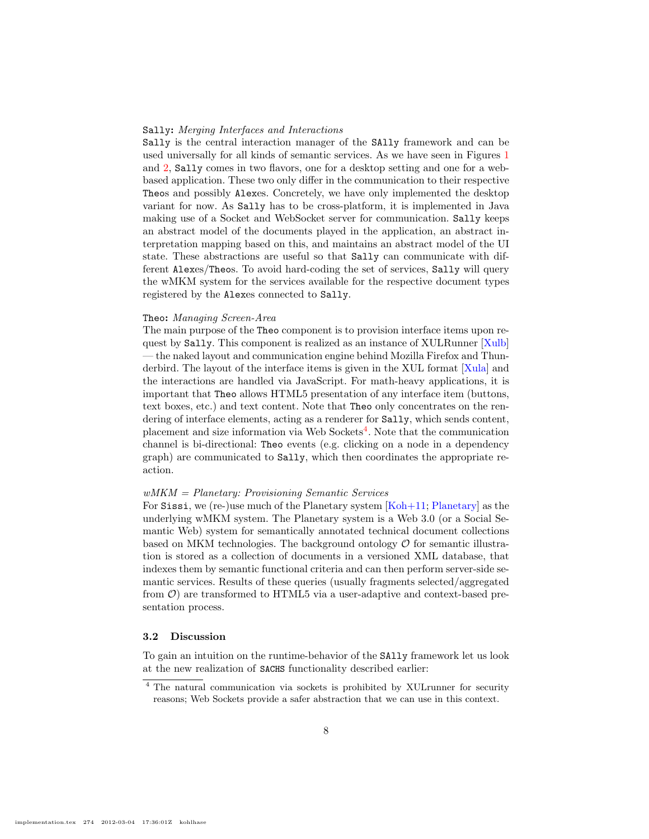#### Sally: Merging Interfaces and Interactions

Sally is the central interaction manager of the SAlly framework and can be used universally for all kinds of semantic services. As we have seen in Figures [1](#page-3-2) and [2,](#page-5-1) Sally comes in two flavors, one for a desktop setting and one for a webbased application. These two only differ in the communication to their respective Theos and possibly Alexes. Concretely, we have only implemented the desktop variant for now. As Sally has to be cross-platform, it is implemented in Java making use of a Socket and WebSocket server for communication. Sally keeps an abstract model of the documents played in the application, an abstract interpretation mapping based on this, and maintains an abstract model of the UI state. These abstractions are useful so that Sally can communicate with different Alexes/Theos. To avoid hard-coding the set of services, Sally will query the wMKM system for the services available for the respective document types registered by the Alexes connected to Sally.

#### Theo: Managing Screen-Area

The main purpose of the Theo component is to provision interface items upon re-quest by Sally. This component is realized as an instance of XULRunner [\[Xulb\]](#page-14-6) — the naked layout and communication engine behind Mozilla Firefox and Thunderbird. The layout of the interface items is given in the XUL format [\[Xula\]](#page-14-7) and the interactions are handled via JavaScript. For math-heavy applications, it is important that Theo allows HTML5 presentation of any interface item (buttons, text boxes, etc.) and text content. Note that Theo only concentrates on the rendering of interface elements, acting as a renderer for Sally, which sends content, placement and size information via Web Sockets<sup>[4](#page-7-0)</sup>. Note that the communication channel is bi-directional: Theo events (e.g. clicking on a node in a dependency graph) are communicated to Sally, which then coordinates the appropriate reaction.

### wMKM = Planetary: Provisioning Semantic Services

For Sissi, we (re-)use much of the Planetary system [\[Koh+11;](#page-13-6) [Planetary\]](#page-14-8) as the underlying wMKM system. The Planetary system is a Web 3.0 (or a Social Semantic Web) system for semantically annotated technical document collections based on MKM technologies. The background ontology  $\mathcal O$  for semantic illustration is stored as a collection of documents in a versioned XML database, that indexes them by semantic functional criteria and can then perform server-side semantic services. Results of these queries (usually fragments selected/aggregated from  $\mathcal{O}$ ) are transformed to HTML5 via a user-adaptive and context-based presentation process.

#### 3.2 Discussion

To gain an intuition on the runtime-behavior of the SAlly framework let us look at the new realization of SACHS functionality described earlier:

<span id="page-7-0"></span><sup>4</sup> The natural communication via sockets is prohibited by XULrunner for security reasons; Web Sockets provide a safer abstraction that we can use in this context.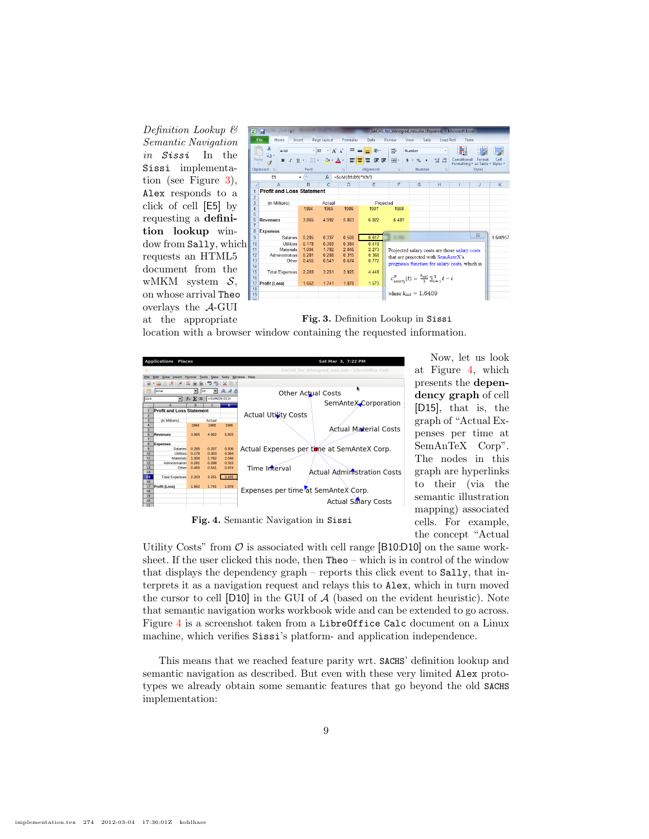Definition Lookup & Semantic Navigation in Sissi In the Sissi implementation (see Figure [3\)](#page-8-0), Alex responds to a click of cell [E5] by requesting a definition lookup window from Sally, which requests an HTML5 document from the wMKM system  $S$ , on whose arrival Theo overlays the A-GUI at the appropriate



<span id="page-8-0"></span>Fig. 3. Definition Lookup in Sissi

location with a browser window containing the requested information.



<span id="page-8-1"></span>Fig. 4. Semantic Navigation in Sissi

Now, let us look at Figure [4,](#page-8-1) which presents the dependency graph of cell [D15], that is, the graph of "Actual Expenses per time at SemAnTeX Corp". The nodes in this graph are hyperlinks to their (via the semantic illustration mapping) associated cells. For example, the concept "Actual

Utility Costs" from  $\mathcal O$  is associated with cell range [B10:D10] on the same worksheet. If the user clicked this node, then Theo – which is in control of the window that displays the dependency graph – reports this click event to Sally, that interprets it as a navigation request and relays this to Alex, which in turn moved the cursor to cell  $[D10]$  in the GUI of A (based on the evident heuristic). Note that semantic navigation works workbook wide and can be extended to go across. Figure [4](#page-8-1) is a screenshot taken from a LibreOffice Calc document on a Linux machine, which verifies Sissi's platform- and application independence.

This means that we reached feature parity wrt. SACHS' definition lookup and semantic navigation as described. But even with these very limited Alex prototypes we already obtain some semantic features that go beyond the old SACHS implementation: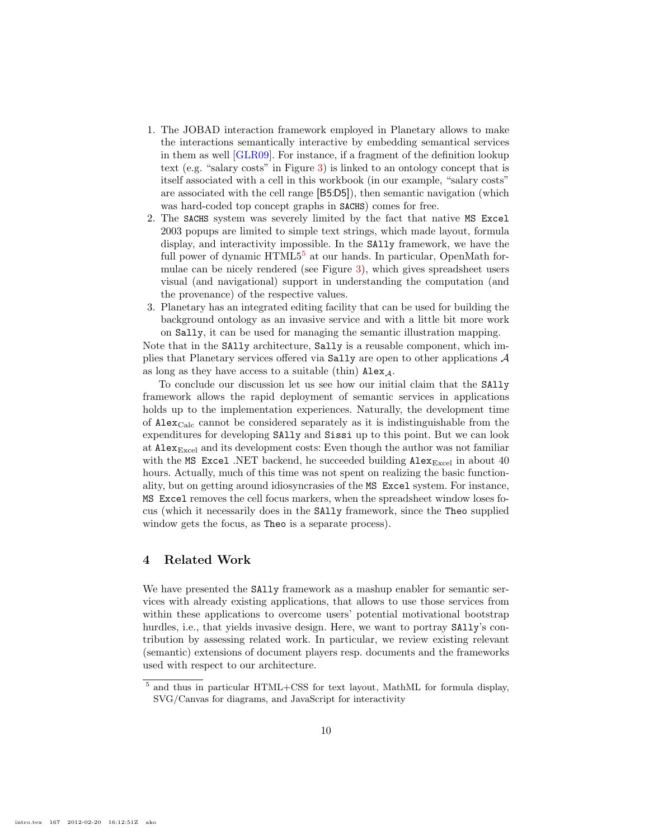- 1. The JOBAD interaction framework employed in Planetary allows to make the interactions semantically interactive by embedding semantical services in them as well [\[GLR09\]](#page-13-7). For instance, if a fragment of the definition lookup text (e.g. "salary costs" in Figure [3\)](#page-8-0) is linked to an ontology concept that is itself associated with a cell in this workbook (in our example, "salary costs" are associated with the cell range [B5:D5]), then semantic navigation (which was hard-coded top concept graphs in SACHS) comes for free.
- 2. The SACHS system was severely limited by the fact that native MS Excel 2003 popups are limited to simple text strings, which made layout, formula display, and interactivity impossible. In the SAlly framework, we have the full power of dynamic  $HTML5<sup>5</sup>$  $HTML5<sup>5</sup>$  $HTML5<sup>5</sup>$  at our hands. In particular, OpenMath formulae can be nicely rendered (see Figure [3\)](#page-8-0), which gives spreadsheet users visual (and navigational) support in understanding the computation (and the provenance) of the respective values.
- 3. Planetary has an integrated editing facility that can be used for building the background ontology as an invasive service and with a little bit more work on Sally, it can be used for managing the semantic illustration mapping.

Note that in the SAlly architecture, Sally is a reusable component, which implies that Planetary services offered via Sally are open to other applications A as long as they have access to a suitable (thin)  $\texttt{Alex}_\mathcal{A}.$ 

To conclude our discussion let us see how our initial claim that the SAlly framework allows the rapid deployment of semantic services in applications holds up to the implementation experiences. Naturally, the development time of  $\text{Alex}_{\text{Calc}}$  cannot be considered separately as it is indistinguishable from the expenditures for developing SAlly and Sissi up to this point. But we can look at  $\texttt{Alex}_\texttt{Excel}$  and its development costs: Even though the author was not familiar with the MS Excel .NET backend, he succeeded building  $\texttt{Alex}_\text{Excel}$  in about 40 hours. Actually, much of this time was not spent on realizing the basic functionality, but on getting around idiosyncrasies of the MS Excel system. For instance, MS Excel removes the cell focus markers, when the spreadsheet window loses focus (which it necessarily does in the SAlly framework, since the Theo supplied window gets the focus, as Theo is a separate process).

# <span id="page-9-0"></span>4 Related Work

We have presented the **SALLy** framework as a mashup enabler for semantic services with already existing applications, that allows to use those services from within these applications to overcome users' potential motivational bootstrap hurdles, i.e., that yields invasive design. Here, we want to portray SA11y's contribution by assessing related work. In particular, we review existing relevant (semantic) extensions of document players resp. documents and the frameworks used with respect to our architecture.

<span id="page-9-1"></span><sup>&</sup>lt;sup>5</sup> and thus in particular HTML+CSS for text layout, MathML for formula display, SVG/Canvas for diagrams, and JavaScript for interactivity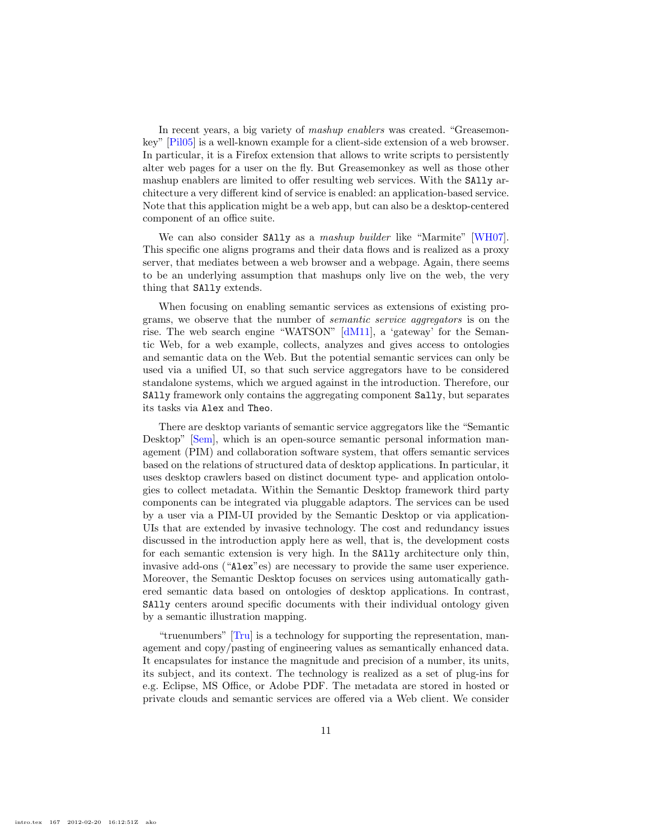In recent years, a big variety of mashup enablers was created. "Greasemonkey" [\[Pil05\]](#page-14-9) is a well-known example for a client-side extension of a web browser. In particular, it is a Firefox extension that allows to write scripts to persistently alter web pages for a user on the fly. But Greasemonkey as well as those other mashup enablers are limited to offer resulting web services. With the SAlly architecture a very different kind of service is enabled: an application-based service. Note that this application might be a web app, but can also be a desktop-centered component of an office suite.

We can also consider **SAlly** as a *mashup builder* like "Marmite" [\[WH07\]](#page-14-10). This specific one aligns programs and their data flows and is realized as a proxy server, that mediates between a web browser and a webpage. Again, there seems to be an underlying assumption that mashups only live on the web, the very thing that SAlly extends.

When focusing on enabling semantic services as extensions of existing programs, we observe that the number of semantic service aggregators is on the rise. The web search engine "WATSON" [\[dM11\]](#page-12-3), a 'gateway' for the Semantic Web, for a web example, collects, analyzes and gives access to ontologies and semantic data on the Web. But the potential semantic services can only be used via a unified UI, so that such service aggregators have to be considered standalone systems, which we argued against in the introduction. Therefore, our SAlly framework only contains the aggregating component Sally, but separates its tasks via Alex and Theo.

There are desktop variants of semantic service aggregators like the "Semantic Desktop" [\[Sem\]](#page-14-11), which is an open-source semantic personal information management (PIM) and collaboration software system, that offers semantic services based on the relations of structured data of desktop applications. In particular, it uses desktop crawlers based on distinct document type- and application ontologies to collect metadata. Within the Semantic Desktop framework third party components can be integrated via pluggable adaptors. The services can be used by a user via a PIM-UI provided by the Semantic Desktop or via application-UIs that are extended by invasive technology. The cost and redundancy issues discussed in the introduction apply here as well, that is, the development costs for each semantic extension is very high. In the SAlly architecture only thin, invasive add-ons ("Alex"es) are necessary to provide the same user experience. Moreover, the Semantic Desktop focuses on services using automatically gathered semantic data based on ontologies of desktop applications. In contrast, SAlly centers around specific documents with their individual ontology given by a semantic illustration mapping.

"truenumbers" [\[Tru\]](#page-14-12) is a technology for supporting the representation, management and copy/pasting of engineering values as semantically enhanced data. It encapsulates for instance the magnitude and precision of a number, its units, its subject, and its context. The technology is realized as a set of plug-ins for e.g. Eclipse, MS Office, or Adobe PDF. The metadata are stored in hosted or private clouds and semantic services are offered via a Web client. We consider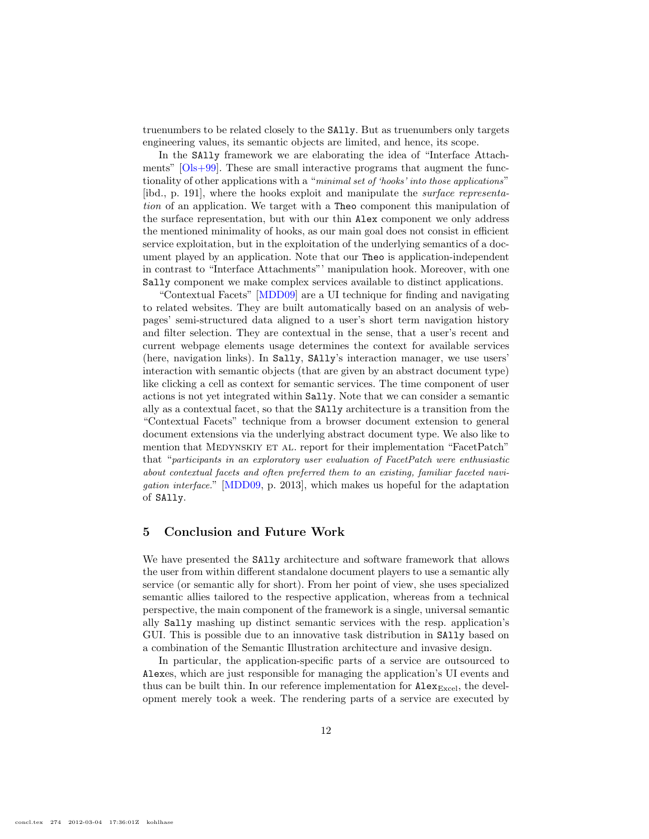truenumbers to be related closely to the SAlly. But as truenumbers only targets engineering values, its semantic objects are limited, and hence, its scope.

In the SAlly framework we are elaborating the idea of "Interface Attachments" [\[Ols+99\]](#page-14-13). These are small interactive programs that augment the functionality of other applications with a "minimal set of 'hooks' into those applications" [ibd., p. 191], where the hooks exploit and manipulate the surface representation of an application. We target with a Theo component this manipulation of the surface representation, but with our thin Alex component we only address the mentioned minimality of hooks, as our main goal does not consist in efficient service exploitation, but in the exploitation of the underlying semantics of a document played by an application. Note that our Theo is application-independent in contrast to "Interface Attachments"' manipulation hook. Moreover, with one Sally component we make complex services available to distinct applications.

"Contextual Facets" [\[MDD09\]](#page-14-3) are a UI technique for finding and navigating to related websites. They are built automatically based on an analysis of webpages' semi-structured data aligned to a user's short term navigation history and filter selection. They are contextual in the sense, that a user's recent and current webpage elements usage determines the context for available services (here, navigation links). In Sally, SAlly's interaction manager, we use users' interaction with semantic objects (that are given by an abstract document type) like clicking a cell as context for semantic services. The time component of user actions is not yet integrated within Sally. Note that we can consider a semantic ally as a contextual facet, so that the SAlly architecture is a transition from the "Contextual Facets" technique from a browser document extension to general document extensions via the underlying abstract document type. We also like to mention that MEDYNSKIY ET AL. report for their implementation "FacetPatch" that "participants in an exploratory user evaluation of FacetPatch were enthusiastic about contextual facets and often preferred them to an existing, familiar faceted navigation interface." [\[MDD09,](#page-14-3) p. 2013], which makes us hopeful for the adaptation of SAlly.

# <span id="page-11-0"></span>5 Conclusion and Future Work

We have presented the SAlly architecture and software framework that allows the user from within different standalone document players to use a semantic ally service (or semantic ally for short). From her point of view, she uses specialized semantic allies tailored to the respective application, whereas from a technical perspective, the main component of the framework is a single, universal semantic ally Sally mashing up distinct semantic services with the resp. application's GUI. This is possible due to an innovative task distribution in SAlly based on a combination of the Semantic Illustration architecture and invasive design.

In particular, the application-specific parts of a service are outsourced to Alexes, which are just responsible for managing the application's UI events and thus can be built thin. In our reference implementation for  $\texttt{Alex}_\text{Excel}$ , the development merely took a week. The rendering parts of a service are executed by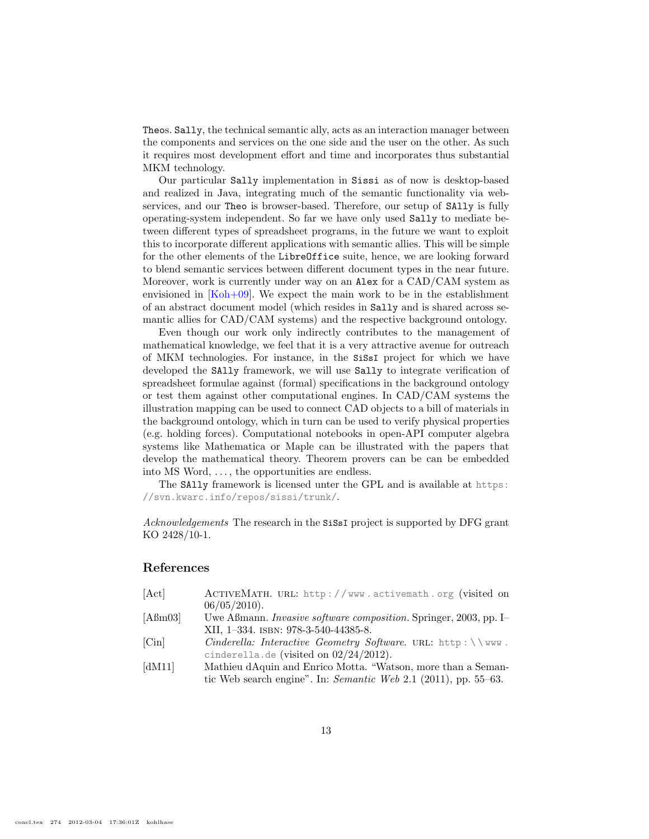Theos. Sally, the technical semantic ally, acts as an interaction manager between the components and services on the one side and the user on the other. As such it requires most development effort and time and incorporates thus substantial MKM technology.

Our particular Sally implementation in Sissi as of now is desktop-based and realized in Java, integrating much of the semantic functionality via webservices, and our Theo is browser-based. Therefore, our setup of SAlly is fully operating-system independent. So far we have only used Sally to mediate between different types of spreadsheet programs, in the future we want to exploit this to incorporate different applications with semantic allies. This will be simple for the other elements of the LibreOffice suite, hence, we are looking forward to blend semantic services between different document types in the near future. Moreover, work is currently under way on an Alex for a CAD/CAM system as envisioned in  $[K<sub>oh</sub>+09]$ . We expect the main work to be in the establishment of an abstract document model (which resides in Sally and is shared across semantic allies for CAD/CAM systems) and the respective background ontology.

Even though our work only indirectly contributes to the management of mathematical knowledge, we feel that it is a very attractive avenue for outreach of MKM technologies. For instance, in the SiSsI project for which we have developed the SAlly framework, we will use Sally to integrate verification of spreadsheet formulae against (formal) specifications in the background ontology or test them against other computational engines. In CAD/CAM systems the illustration mapping can be used to connect CAD objects to a bill of materials in the background ontology, which in turn can be used to verify physical properties (e.g. holding forces). Computational notebooks in open-API computer algebra systems like Mathematica or Maple can be illustrated with the papers that develop the mathematical theory. Theorem provers can be can be embedded into  $\overline{MS}$  Word,  $\dots$ , the opportunities are endless.

The SAlly framework is licensed unter the GPL and is available at [https:](https://svn.kwarc.info/repos/sissi/trunk/) [//svn.kwarc.info/repos/sissi/trunk/](https://svn.kwarc.info/repos/sissi/trunk/).

Acknowledgements The research in the SiSsI project is supported by DFG grant KO 2428/10-1.

# References

<span id="page-12-2"></span><span id="page-12-0"></span>

| [Act]          | ACTIVEMATH. URL: http://www.activemath.org (visited on                    |
|----------------|---------------------------------------------------------------------------|
|                | $06/05/2010$ ).                                                           |
| $[A\beta m03]$ | Uwe Aßmann. <i>Invasive software composition</i> . Springer, 2003, pp. I- |
|                | XII, $1-334$ . ISBN: $978-3-540-44385-8$ .                                |
| [Cin]          | <i>Cinderella: Interactive Geometry Software.</i> URL: $http://www$       |
|                | cinderella.de (visited on $02/24/2012$ ).                                 |
| [dM11]         | Mathieu dAquin and Enrico Motta. "Watson, more than a Seman-              |

<span id="page-12-3"></span><span id="page-12-1"></span>tic Web search engine". In: Semantic Web 2.1 (2011), pp. 55–63.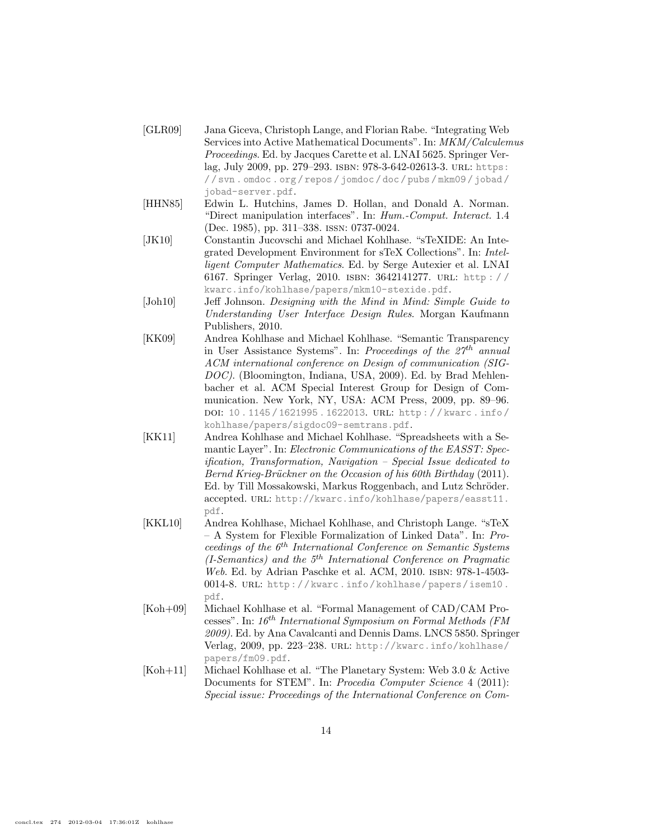- <span id="page-13-7"></span>[GLR09] Jana Giceva, Christoph Lange, and Florian Rabe. "Integrating Web Services into Active Mathematical Documents". In: MKM/Calculemus Proceedings. Ed. by Jacques Carette et al. LNAI 5625. Springer Verlag, July 2009, pp. 279–293. isbn: 978-3-642-02613-3. url: [https:](https://svn.omdoc.org/repos/jomdoc/doc/pubs/mkm09/jobad/jobad-server.pdf) [/ / svn . omdoc . org / repos / jomdoc / doc / pubs / mkm09 / jobad /](https://svn.omdoc.org/repos/jomdoc/doc/pubs/mkm09/jobad/jobad-server.pdf) [jobad-server.pdf](https://svn.omdoc.org/repos/jomdoc/doc/pubs/mkm09/jobad/jobad-server.pdf).
- <span id="page-13-1"></span>[HHN85] Edwin L. Hutchins, James D. Hollan, and Donald A. Norman. "Direct manipulation interfaces". In: Hum.-Comput. Interact. 1.4 (Dec. 1985), pp. 311–338. issn: 0737-0024.
- <span id="page-13-2"></span>[JK10] Constantin Jucovschi and Michael Kohlhase. "sTeXIDE: An Integrated Development Environment for sTeX Collections". In: Intelligent Computer Mathematics. Ed. by Serge Autexier et al. LNAI 6167. Springer Verlag, 2010. isbn: 3642141277. url: [http : / /](http://kwarc.info/kohlhase/papers/mkm10-stexide.pdf) [kwarc.info/kohlhase/papers/mkm10-stexide.pdf](http://kwarc.info/kohlhase/papers/mkm10-stexide.pdf).
- <span id="page-13-0"></span>[Joh10] Jeff Johnson. Designing with the Mind in Mind: Simple Guide to Understanding User Interface Design Rules. Morgan Kaufmann Publishers, 2010.
- <span id="page-13-5"></span>[KK09] Andrea Kohlhase and Michael Kohlhase. "Semantic Transparency in User Assistance Systems". In: Proceedings of the  $27<sup>th</sup>$  annual ACM international conference on Design of communication (SIG-DOC). (Bloomington, Indiana, USA, 2009). Ed. by Brad Mehlenbacher et al. ACM Special Interest Group for Design of Communication. New York, NY, USA: ACM Press, 2009, pp. 89–96. doi: [10 . 1145 / 1621995 . 1622013](http://dx.doi.org/10.1145/1621995.1622013). url: [http : / / kwarc . info /](http://kwarc.info/kohlhase/papers/sigdoc09-semtrans.pdf) [kohlhase/papers/sigdoc09-semtrans.pdf](http://kwarc.info/kohlhase/papers/sigdoc09-semtrans.pdf).
- <span id="page-13-4"></span>[KK11] Andrea Kohlhase and Michael Kohlhase. "Spreadsheets with a Semantic Layer". In: Electronic Communications of the EASST: Specification, Transformation, Navigation – Special Issue dedicated to Bernd Krieg-Brückner on the Occasion of his 60th Birthday (2011). Ed. by Till Mossakowski, Markus Roggenbach, and Lutz Schröder. accepted. URL: [http://kwarc.info/kohlhase/papers/easst11.](http://kwarc.info/kohlhase/papers/easst11.pdf) [pdf](http://kwarc.info/kohlhase/papers/easst11.pdf).
- <span id="page-13-3"></span>[KKL10] Andrea Kohlhase, Michael Kohlhase, and Christoph Lange. "sTeX – A System for Flexible Formalization of Linked Data". In: Proceedings of the  $6<sup>th</sup> International Conference on Semantic Systems$  $(I-Semantics)$  and the  $5<sup>th</sup> International Conference on Pragmatic$ Web. Ed. by Adrian Paschke et al. ACM, 2010. isbn: 978-1-4503- 0014-8. URL: http://kwarc.info/kohlhase/papers/isem10. [pdf](http://kwarc.info/kohlhase/papers/isem10.pdf).
- <span id="page-13-8"></span>[Koh+09] Michael Kohlhase et al. "Formal Management of CAD/CAM Processes". In:  $16^{th}$  International Symposium on Formal Methods (FM 2009). Ed. by Ana Cavalcanti and Dennis Dams. LNCS 5850. Springer Verlag, 2009, pp. 223–238. url: [http://kwarc.info/kohlhase/](http://kwarc.info/kohlhase/papers/fm09.pdf) [papers/fm09.pdf](http://kwarc.info/kohlhase/papers/fm09.pdf).
- <span id="page-13-6"></span>[Koh+11] Michael Kohlhase et al. "The Planetary System: Web 3.0 & Active Documents for STEM". In: Procedia Computer Science 4 (2011): Special issue: Proceedings of the International Conference on Com-